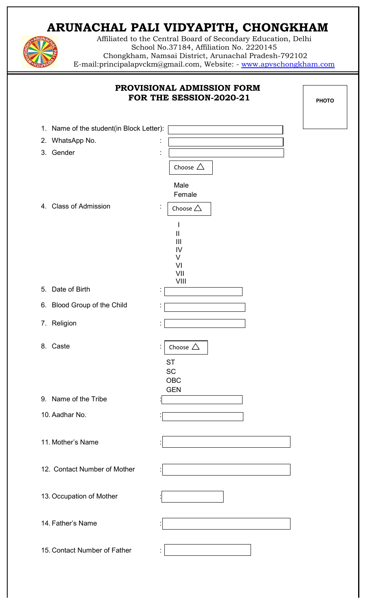## **ARUNACHAL PALI VIDYAPITH, CHONGKHAM**



Affiliated to the Central Board of Secondary Education, Delhi School No.37184, Affiliation No. 2220145 Chongkham, Namsai District, Arunachal Pradesh-792102 E-mail:principalapvckm@gmail.com, Website: - www.apvschongkham.com

| PROVISIONAL ADMISSION FORM<br>FOR THE SESSION-2020-21       |                                                                                   |  |
|-------------------------------------------------------------|-----------------------------------------------------------------------------------|--|
| 1. Name of the student(in Block Letter):<br>2. WhatsApp No. | $\ddot{\cdot}$                                                                    |  |
| 3. Gender                                                   | ٠<br>Choose $\triangle$<br>Male<br>Female                                         |  |
| 4. Class of Admission                                       | Choose $\triangle$<br>ı<br>$\mathbf{I}$<br>$\mathbf{III}$<br>IV<br>V<br>VI<br>VII |  |
| 5. Date of Birth                                            | VIII<br>ä,                                                                        |  |
| 6. Blood Group of the Child                                 |                                                                                   |  |
| 7. Religion                                                 |                                                                                   |  |
| 8. Caste                                                    | ÷,<br>Choose $\triangle$<br><b>ST</b><br>SC<br><b>OBC</b><br><b>GEN</b>           |  |
| 9. Name of the Tribe                                        |                                                                                   |  |
| 10. Aadhar No.                                              |                                                                                   |  |
| 11. Mother's Name                                           |                                                                                   |  |
| 12. Contact Number of Mother                                |                                                                                   |  |
| 13. Occupation of Mother                                    |                                                                                   |  |
| 14. Father's Name                                           |                                                                                   |  |
| 15. Contact Number of Father                                |                                                                                   |  |